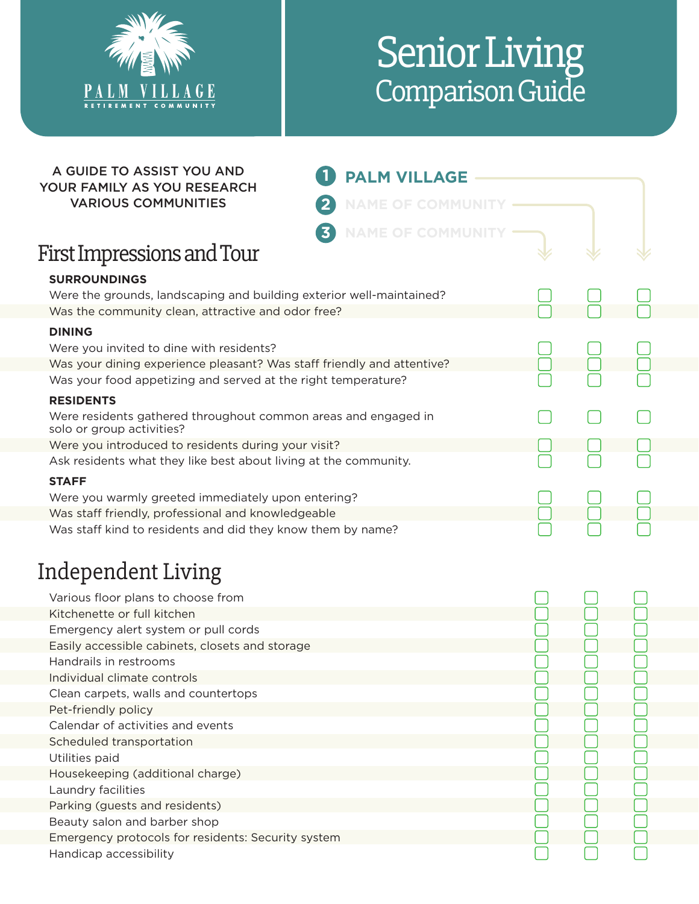

Handicap accessibility

## Senior Living Comparison Guide

| A GUIDE TO ASSIST YOU AND<br>YOUR FAMILY AS YOU RESEARCH                                    | <b>PALM VILLAGE</b>                              |  |  |
|---------------------------------------------------------------------------------------------|--------------------------------------------------|--|--|
| <b>VARIOUS COMMUNITIES</b>                                                                  | $\overline{2}$<br><b>NAME OF COMMUNIT</b>        |  |  |
|                                                                                             | $\overline{\mathbf{3}}$<br><b>NAME OF COMMUN</b> |  |  |
| <b>First Impressions and Tour</b>                                                           |                                                  |  |  |
| <b>SURROUNDINGS</b>                                                                         |                                                  |  |  |
| Were the grounds, landscaping and building exterior well-maintained?                        |                                                  |  |  |
| Was the community clean, attractive and odor free?                                          |                                                  |  |  |
| <b>DINING</b>                                                                               |                                                  |  |  |
| Were you invited to dine with residents?                                                    |                                                  |  |  |
| Was your dining experience pleasant? Was staff friendly and attentive?                      |                                                  |  |  |
| Was your food appetizing and served at the right temperature?                               |                                                  |  |  |
| <b>RESIDENTS</b>                                                                            |                                                  |  |  |
| Were residents gathered throughout common areas and engaged in<br>solo or group activities? |                                                  |  |  |
| Were you introduced to residents during your visit?                                         |                                                  |  |  |
| Ask residents what they like best about living at the community.                            |                                                  |  |  |
|                                                                                             |                                                  |  |  |
| <b>STAFF</b>                                                                                |                                                  |  |  |
| Were you warmly greeted immediately upon entering?                                          |                                                  |  |  |
| Was staff friendly, professional and knowledgeable                                          |                                                  |  |  |
| Was staff kind to residents and did they know them by name?                                 |                                                  |  |  |
| Independent Living                                                                          |                                                  |  |  |
|                                                                                             |                                                  |  |  |
| Various floor plans to choose from                                                          |                                                  |  |  |
| Kitchenette or full kitchen                                                                 |                                                  |  |  |
| Emergency alert system or pull cords                                                        |                                                  |  |  |
| Easily accessible cabinets, closets and storage                                             |                                                  |  |  |
| Handrails in restrooms                                                                      |                                                  |  |  |
| Individual climate controls                                                                 |                                                  |  |  |
| Clean carpets, walls and countertops                                                        |                                                  |  |  |
| Pet-friendly policy                                                                         |                                                  |  |  |
| Calendar of activities and events                                                           |                                                  |  |  |
| Scheduled transportation                                                                    |                                                  |  |  |
| Utilities paid                                                                              |                                                  |  |  |
| Housekeeping (additional charge)                                                            |                                                  |  |  |
| Laundry facilities                                                                          |                                                  |  |  |
| Parking (guests and residents)                                                              |                                                  |  |  |
| Beauty salon and barber shop                                                                |                                                  |  |  |
| Emergency protocols for residents: Security system                                          |                                                  |  |  |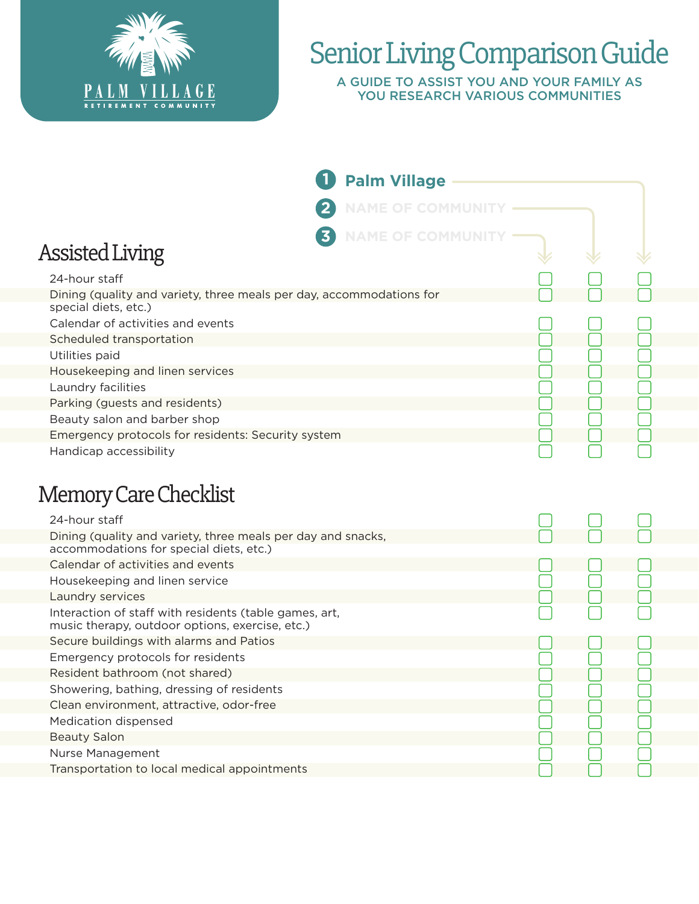

## Senior Living Comparison Guide

A GUIDE TO ASSIST YOU AND YOUR FAMILY AS YOU RESEARCH VARIOUS COMMUNITIES

|                                                                                                                                                    | <b>Palm Village</b>      |  |  |
|----------------------------------------------------------------------------------------------------------------------------------------------------|--------------------------|--|--|
|                                                                                                                                                    | <b>NAME OF COMMUNITY</b> |  |  |
| $\overline{\mathbf{3}}$<br><b>Assisted Living</b>                                                                                                  | <b>NAME OF COMMUNIT</b>  |  |  |
| 24-hour staff<br>Dining (quality and variety, three meals per day, accommodations for<br>special diets, etc.)<br>Calendar of activities and events |                          |  |  |
| Scheduled transportation<br>Utilities paid<br>Housekeeping and linen services                                                                      |                          |  |  |
| Laundry facilities<br>Parking (guests and residents)<br>Beauty salon and barber shop<br>Emergency protocols for residents: Security system         |                          |  |  |
| Handicap accessibility<br><b>Memory Care Checklist</b><br>24-hour staff                                                                            |                          |  |  |
| Dining (quality and variety, three meals per day and snacks,<br>accommodations for special diets, etc.)                                            |                          |  |  |
| Calendar of activities and events<br>Housekeeping and linen service<br>Laundry services<br>Interaction of staff with residents (table games, art,  |                          |  |  |
| music therapy, outdoor options, exercise, etc.)<br>Secure buildings with alarms and Patios<br>Emergency protocols for residents                    |                          |  |  |
| Resident bathroom (not shared)<br>Showering, bathing, dressing of residents<br>Clean environment, attractive, odor-free                            |                          |  |  |
| Medication dispensed<br><b>Beauty Salon</b><br>Nurse Management                                                                                    |                          |  |  |
| Transportation to local medical appointments                                                                                                       |                          |  |  |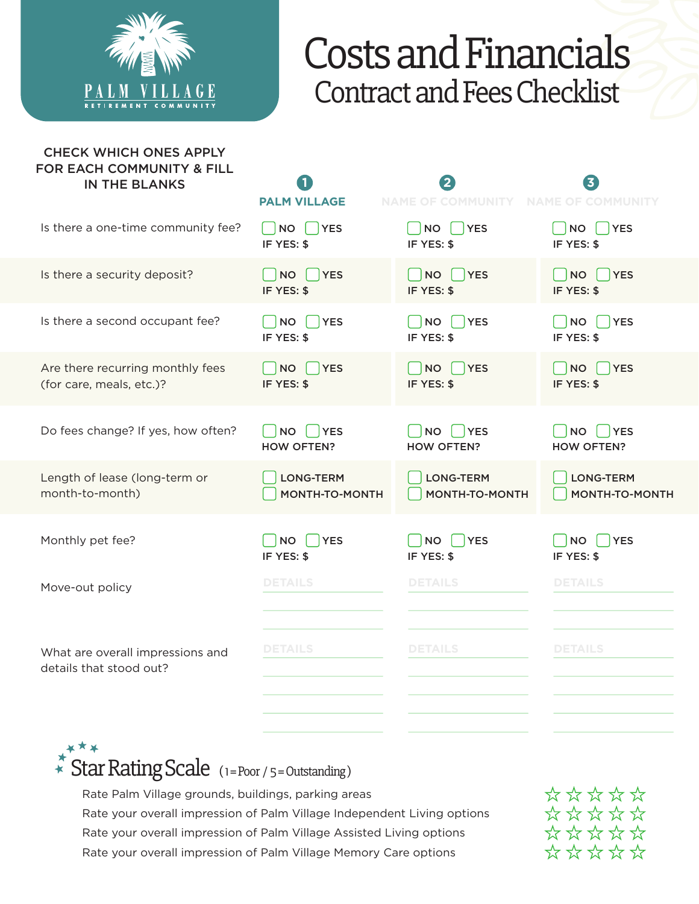

## Costs and Financials Contract and Fees Checklist

| <b>CHECK WHICH ONES APPLY</b><br>FOR EACH COMMUNITY & FILL<br><b>IN THE BLANKS</b> | <b>PALM VILLAGE</b>                      | <b>NAME OF COMMUNITY</b>                 | <b>NAME OF COMMUNITY</b>                     |
|------------------------------------------------------------------------------------|------------------------------------------|------------------------------------------|----------------------------------------------|
| Is there a one-time community fee?                                                 | $\bigcap$ YES<br><b>NO</b><br>IF YES: \$ | <b>NO</b><br>YES<br>IF YES: \$           | <b>NO</b><br><b>YES</b><br>IF YES: \$        |
| Is there a security deposit?                                                       | <b>TYES</b><br><b>NO</b><br>IF YES: \$   | $\bigcap$ YES<br><b>NO</b><br>IF YES: \$ | NO<br><b>YES</b><br>IF YES: \$               |
| Is there a second occupant fee?                                                    | <b>YES</b><br><b>NO</b><br>IF YES: \$    | <b>NO</b><br>YES<br>IF YES: \$           | <b>YES</b><br><b>NO</b><br>IF YES: \$        |
| Are there recurring monthly fees<br>(for care, meals, etc.)?                       | <b>YES</b><br><b>NO</b><br>IF YES: \$    | <b>NO</b><br>YES<br>IF YES: \$           | <b>YES</b><br>NO<br>IF YES: \$               |
| Do fees change? If yes, how often?                                                 | NO   YES<br><b>HOW OFTEN?</b>            | NO<br>YES<br><b>HOW OFTEN?</b>           | <b>NO</b><br><b>YES</b><br><b>HOW OFTEN?</b> |
| Length of lease (long-term or<br>month-to-month)                                   | <b>LONG-TERM</b><br>MONTH-TO-MONTH       | <b>LONG-TERM</b><br>MONTH-TO-MONTH       | <b>LONG-TERM</b><br>MONTH-TO-MONTH           |
| Monthly pet fee?                                                                   | <b>NO</b><br><b>YES</b><br>IF YES: \$    | <b>NO</b><br><b>YES</b><br>IF YES: \$    | <b>NO</b><br><b>YES</b><br>IF YES: \$        |
| Move-out policy                                                                    | <b>DETAILS</b>                           | <b>DETAILS</b>                           | <b>DETAILS</b>                               |
| What are overall impressions and<br>details that stood out?                        | <b>DETAILS</b>                           | <b>DETAILS</b>                           | <b>DETAILS</b>                               |
|                                                                                    |                                          |                                          |                                              |

 $\widehat{*}$  Star Rating Scale (1=Poor / 5=Outstanding)

Rate Palm Village grounds, buildings, parking areas Rate your overall impression of Palm Village Independent Living options Rate your overall impression of Palm Village Assisted Living options Rate your overall impression of Palm Village Memory Care options

\*\*\*\*\* \*\*\*\*\* \*\*\*\*\* \*\*\*\*\*